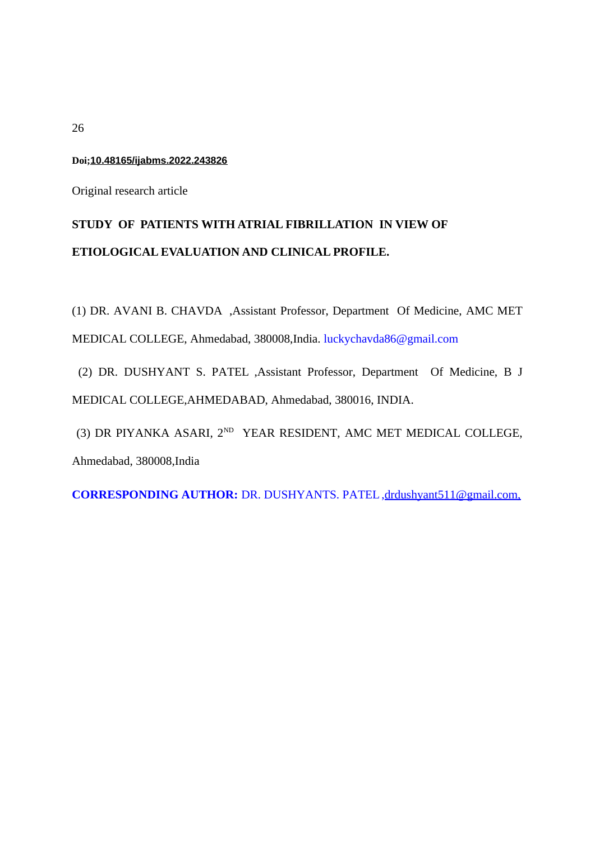## **Doi;10.48165/ijabms.2022.243826**

Original research article

# **STUDY OF PATIENTS WITH ATRIAL FIBRILLATION IN VIEW OF ETIOLOGICAL EVALUATION AND CLINICAL PROFILE.**

(1) DR. AVANI B. CHAVDA ,Assistant Professor, Department Of Medicine, AMC MET MEDICAL COLLEGE, Ahmedabad, 380008,India. [luckychavda86@gmail.com](mailto:luckychavda86@gmail.com)

(2) DR. DUSHYANT S. PATEL ,Assistant Professor, Department Of Medicine, B J MEDICAL COLLEGE,AHMEDABAD, Ahmedabad, 380016, INDIA.

(3) DR PIYANKA ASARI,  $2^{ND}$  YEAR RESIDENT, AMC MET MEDICAL COLLEGE, Ahmedabad, 380008,India

**CORRESPONDING AUTHOR:** DR. DUSHYANTS. PATEL ,drdushyant511@gmail.com,

26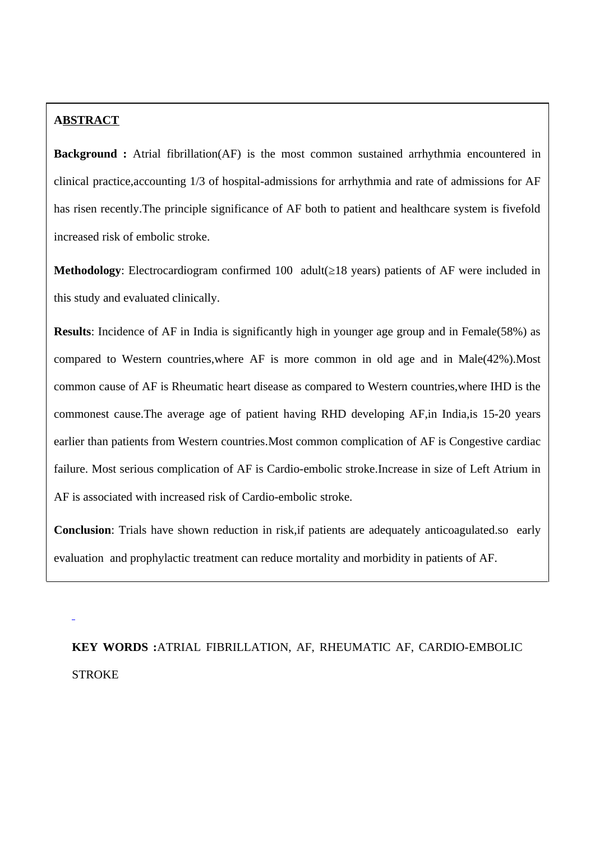## **ABSTRACT**

**Background :** Atrial fibrillation(AF) is the most common sustained arrhythmia encountered in clinical practice,accounting 1/3 of hospital-admissions for arrhythmia and rate of admissions for AF has risen recently.The principle significance of AF both to patient and healthcare system is fivefold increased risk of embolic stroke.

**Methodology**: Electrocardiogram confirmed 100 adult(≥18 years) patients of AF were included in this study and evaluated clinically.

**Results**: Incidence of AF in India is significantly high in younger age group and in Female(58%) as compared to Western countries,where AF is more common in old age and in Male(42%).Most common cause of AF is Rheumatic heart disease as compared to Western countries,where IHD is the commonest cause.The average age of patient having RHD developing AF,in India,is 15-20 years earlier than patients from Western countries.Most common complication of AF is Congestive cardiac failure. Most serious complication of AF is Cardio-embolic stroke.Increase in size of Left Atrium in AF is associated with increased risk of Cardio-embolic stroke.

**Conclusion**: Trials have shown reduction in risk,if patients are adequately anticoagulated.so early evaluation and prophylactic treatment can reduce mortality and morbidity in patients of AF.

**KEY WORDS :**ATRIAL FIBRILLATION, AF, RHEUMATIC AF, CARDIO-EMBOLIC STROKE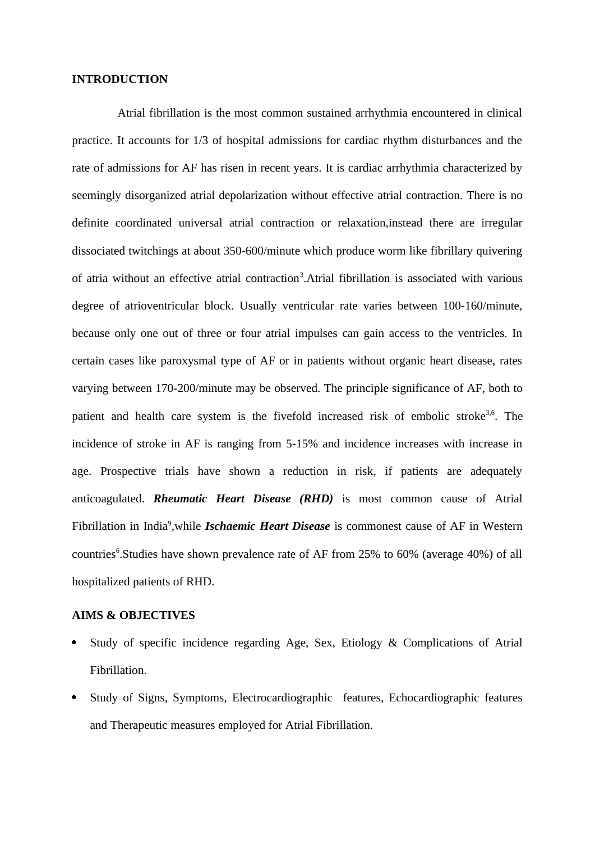## **INTRODUCTION**

 Atrial fibrillation is the most common sustained arrhythmia encountered in clinical practice. It accounts for 1/3 of hospital admissions for cardiac rhythm disturbances and the rate of admissions for AF has risen in recent years. It is cardiac arrhythmia characterized by seemingly disorganized atrial depolarization without effective atrial contraction. There is no definite coordinated universal atrial contraction or relaxation,instead there are irregular dissociated twitchings at about 350-600/minute which produce worm like fibrillary quivering of atria without an effective atrial contraction<sup>3</sup>. Atrial fibrillation is associated with various degree of atrioventricular block. Usually ventricular rate varies between 100-160/minute, because only one out of three or four atrial impulses can gain access to the ventricles. In certain cases like paroxysmal type of AF or in patients without organic heart disease, rates varying between 170-200/minute may be observed. The principle significance of AF, both to patient and health care system is the fivefold increased risk of embolic stroke<sup>3,6</sup>. The incidence of stroke in AF is ranging from 5-15% and incidence increases with increase in age. Prospective trials have shown a reduction in risk, if patients are adequately anticoagulated. *Rheumatic Heart Disease (RHD)* is most common cause of Atrial Fibrillation in India<sup>9</sup>, while *Ischaemic Heart Disease* is commonest cause of AF in Western countries<sup>6</sup>. Studies have shown prevalence rate of AF from 25% to 60% (average 40%) of all hospitalized patients of RHD.

## **AIMS & OBJECTIVES**

- Study of specific incidence regarding Age, Sex, Etiology & Complications of Atrial Fibrillation.
- Study of Signs, Symptoms, Electrocardiographic features, Echocardiographic features and Therapeutic measures employed for Atrial Fibrillation.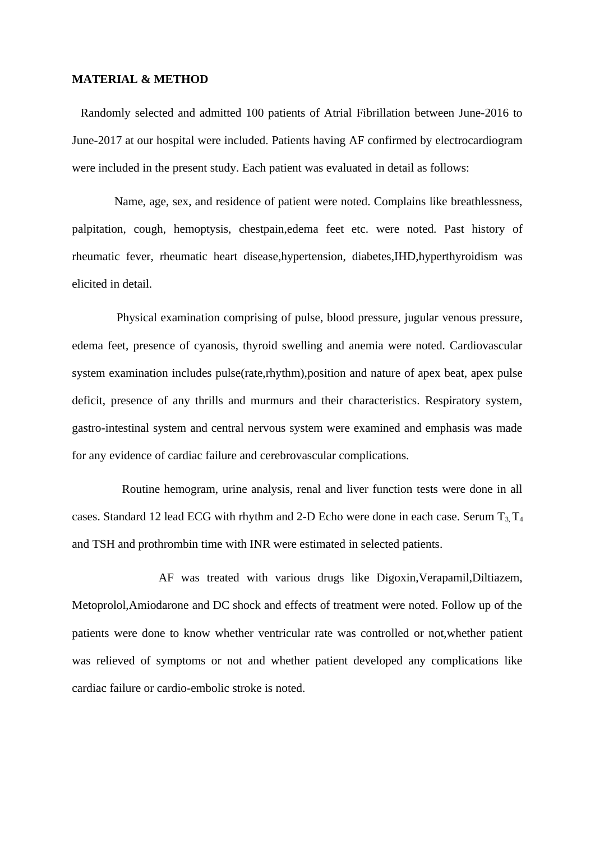#### **MATERIAL & METHOD**

 Randomly selected and admitted 100 patients of Atrial Fibrillation between June-2016 to June-2017 at our hospital were included. Patients having AF confirmed by electrocardiogram were included in the present study. Each patient was evaluated in detail as follows:

 Name, age, sex, and residence of patient were noted. Complains like breathlessness, palpitation, cough, hemoptysis, chestpain,edema feet etc. were noted. Past history of rheumatic fever, rheumatic heart disease,hypertension, diabetes,IHD,hyperthyroidism was elicited in detail.

 Physical examination comprising of pulse, blood pressure, jugular venous pressure, edema feet, presence of cyanosis, thyroid swelling and anemia were noted. Cardiovascular system examination includes pulse(rate,rhythm),position and nature of apex beat, apex pulse deficit, presence of any thrills and murmurs and their characteristics. Respiratory system, gastro-intestinal system and central nervous system were examined and emphasis was made for any evidence of cardiac failure and cerebrovascular complications.

 Routine hemogram, urine analysis, renal and liver function tests were done in all cases. Standard 12 lead ECG with rhythm and 2-D Echo were done in each case. Serum  $T_3$ ,  $T_4$ and TSH and prothrombin time with INR were estimated in selected patients.

 AF was treated with various drugs like Digoxin,Verapamil,Diltiazem, Metoprolol,Amiodarone and DC shock and effects of treatment were noted. Follow up of the patients were done to know whether ventricular rate was controlled or not,whether patient was relieved of symptoms or not and whether patient developed any complications like cardiac failure or cardio-embolic stroke is noted.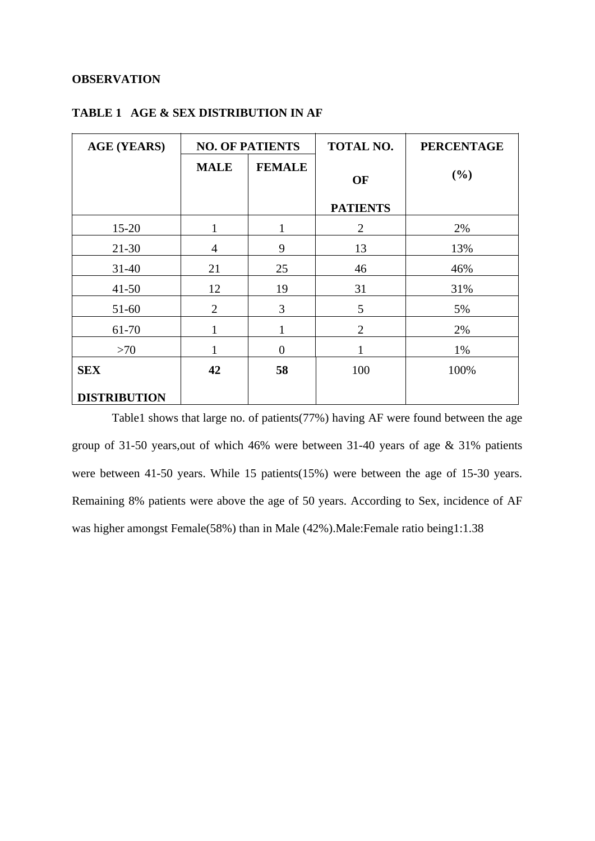## **OBSERVATION**

| <b>AGE (YEARS)</b>  | <b>NO. OF PATIENTS</b> |                  | <b>TOTAL NO.</b> | <b>PERCENTAGE</b> |
|---------------------|------------------------|------------------|------------------|-------------------|
|                     | <b>MALE</b>            | <b>FEMALE</b>    | OF               | (%)               |
|                     |                        |                  | <b>PATIENTS</b>  |                   |
| 15-20               | 1                      | 1                | $\overline{2}$   | 2%                |
| 21-30               | 4                      | 9                | 13               | 13%               |
| 31-40               | 21                     | 25               | 46               | 46%               |
| 41-50               | 12                     | 19               | 31               | 31%               |
| 51-60               | $\overline{2}$         | 3                | 5                | 5%                |
| 61-70               | $\mathbf{1}$           | 1                | $\overline{2}$   | 2%                |
| >70                 | $\mathbf{1}$           | $\boldsymbol{0}$ | $\mathbf{1}$     | 1%                |
| <b>SEX</b>          | 42                     | 58               | 100              | 100%              |
| <b>DISTRIBUTION</b> |                        |                  |                  |                   |

# **TABLE 1 AGE & SEX DISTRIBUTION IN AF**

Table1 shows that large no. of patients(77%) having AF were found between the age group of 31-50 years,out of which 46% were between 31-40 years of age & 31% patients were between 41-50 years. While 15 patients(15%) were between the age of 15-30 years. Remaining 8% patients were above the age of 50 years. According to Sex, incidence of AF was higher amongst Female(58%) than in Male (42%).Male:Female ratio being1:1.38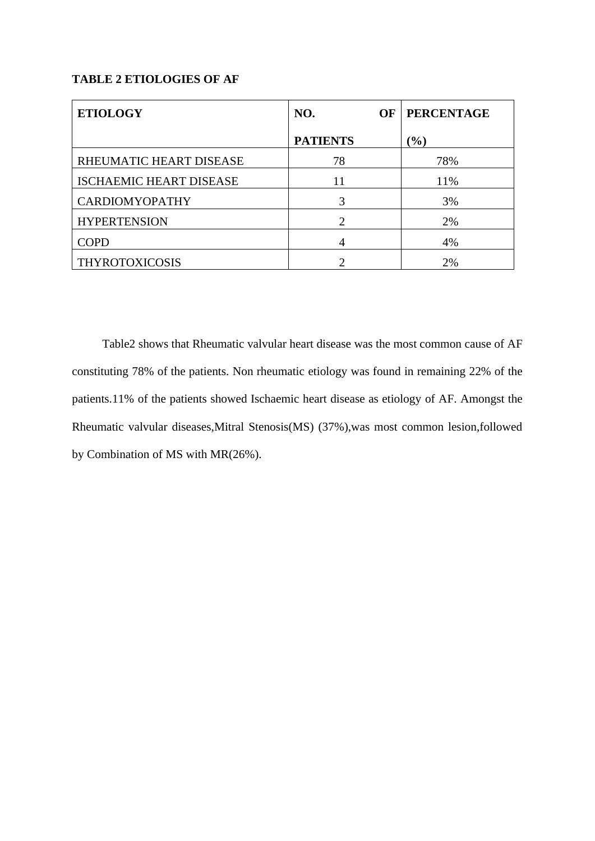# **TABLE 2 ETIOLOGIES OF AF**

| <b>ETIOLOGY</b>                | NO.<br><b>OF</b> | <b>PERCENTAGE</b> |
|--------------------------------|------------------|-------------------|
|                                | <b>PATIENTS</b>  | $\frac{9}{6}$     |
| RHEUMATIC HEART DISEASE        | 78               | 78%               |
| <b>ISCHAEMIC HEART DISEASE</b> | 11               | 11%               |
| <b>CARDIOMYOPATHY</b>          | 3                | 3%                |
| <b>HYPERTENSION</b>            | ר                | 2%                |
| <b>COPD</b>                    | 4                | 4%                |
| <b>THYROTOXICOSIS</b>          |                  | 2%                |

 Table2 shows that Rheumatic valvular heart disease was the most common cause of AF constituting 78% of the patients. Non rheumatic etiology was found in remaining 22% of the patients.11% of the patients showed Ischaemic heart disease as etiology of AF. Amongst the Rheumatic valvular diseases,Mitral Stenosis(MS) (37%),was most common lesion,followed by Combination of MS with MR(26%).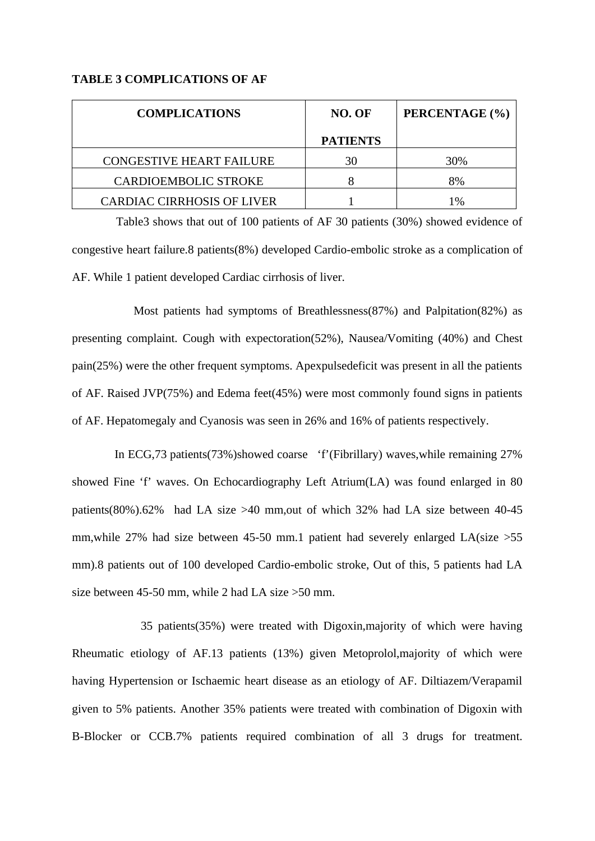## **TABLE 3 COMPLICATIONS OF AF**

| <b>COMPLICATIONS</b>              | NO. OF          | PERCENTAGE (%) |
|-----------------------------------|-----------------|----------------|
|                                   | <b>PATIENTS</b> |                |
| <b>CONGESTIVE HEART FAILURE</b>   | 30              | 30%            |
| <b>CARDIOEMBOLIC STROKE</b>       |                 | 8%             |
| <b>CARDIAC CIRRHOSIS OF LIVER</b> |                 | 1%             |

 Table3 shows that out of 100 patients of AF 30 patients (30%) showed evidence of congestive heart failure.8 patients(8%) developed Cardio-embolic stroke as a complication of AF. While 1 patient developed Cardiac cirrhosis of liver.

 Most patients had symptoms of Breathlessness(87%) and Palpitation(82%) as presenting complaint. Cough with expectoration(52%), Nausea/Vomiting (40%) and Chest pain(25%) were the other frequent symptoms. Apexpulsedeficit was present in all the patients of AF. Raised JVP(75%) and Edema feet(45%) were most commonly found signs in patients of AF. Hepatomegaly and Cyanosis was seen in 26% and 16% of patients respectively.

 In ECG,73 patients(73%)showed coarse 'f'(Fibrillary) waves,while remaining 27% showed Fine 'f' waves. On Echocardiography Left Atrium(LA) was found enlarged in 80 patients(80%).62% had LA size >40 mm,out of which 32% had LA size between 40-45 mm,while 27% had size between 45-50 mm.1 patient had severely enlarged LA(size >55 mm).8 patients out of 100 developed Cardio-embolic stroke, Out of this, 5 patients had LA size between 45-50 mm, while 2 had LA size >50 mm.

 35 patients(35%) were treated with Digoxin,majority of which were having Rheumatic etiology of AF.13 patients (13%) given Metoprolol,majority of which were having Hypertension or Ischaemic heart disease as an etiology of AF. Diltiazem/Verapamil given to 5% patients. Another 35% patients were treated with combination of Digoxin with B-Blocker or CCB.7% patients required combination of all 3 drugs for treatment.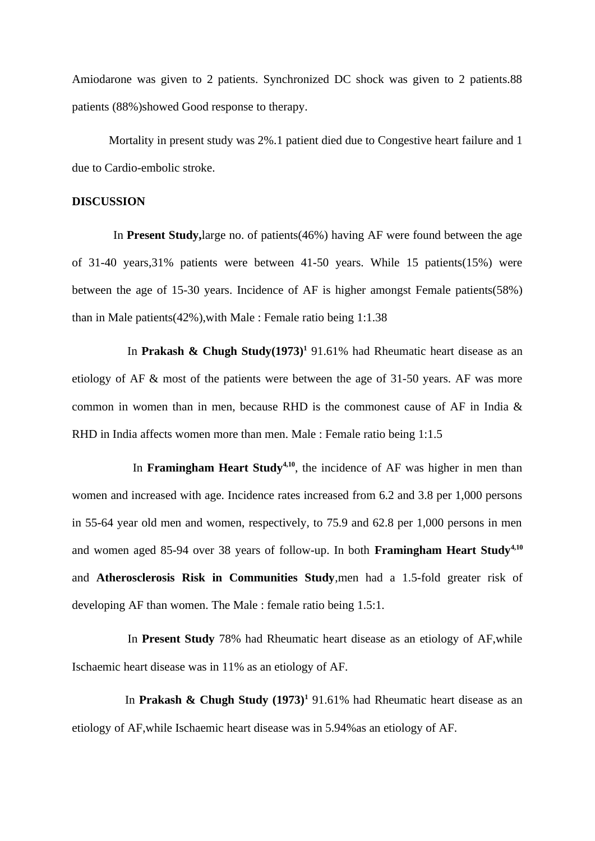Amiodarone was given to 2 patients. Synchronized DC shock was given to 2 patients.88 patients (88%)showed Good response to therapy.

 Mortality in present study was 2%.1 patient died due to Congestive heart failure and 1 due to Cardio-embolic stroke.

#### **DISCUSSION**

 In **Present Study,**large no. of patients(46%) having AF were found between the age of 31-40 years,31% patients were between 41-50 years. While 15 patients(15%) were between the age of 15-30 years. Incidence of AF is higher amongst Female patients(58%) than in Male patients(42%),with Male : Female ratio being 1:1.38

 In **Prakash & Chugh Study(1973)<sup>1</sup>** 91.61% had Rheumatic heart disease as an etiology of AF & most of the patients were between the age of 31-50 years. AF was more common in women than in men, because RHD is the commonest cause of AF in India & RHD in India affects women more than men. Male : Female ratio being 1:1.5

 In **Framingham Heart Study4,10**, the incidence of AF was higher in men than women and increased with age. Incidence rates increased from 6.2 and 3.8 per 1,000 persons in 55-64 year old men and women, respectively, to 75.9 and 62.8 per 1,000 persons in men and women aged 85-94 over 38 years of follow-up. In both **Framingham Heart Study4,10** and **Atherosclerosis Risk in Communities Study**,men had a 1.5-fold greater risk of developing AF than women. The Male : female ratio being 1.5:1.

 In **Present Study** 78% had Rheumatic heart disease as an etiology of AF,while Ischaemic heart disease was in 11% as an etiology of AF.

In **Prakash & Chugh Study (1973)**<sup>1</sup> 91.61% had Rheumatic heart disease as an etiology of AF,while Ischaemic heart disease was in 5.94%as an etiology of AF.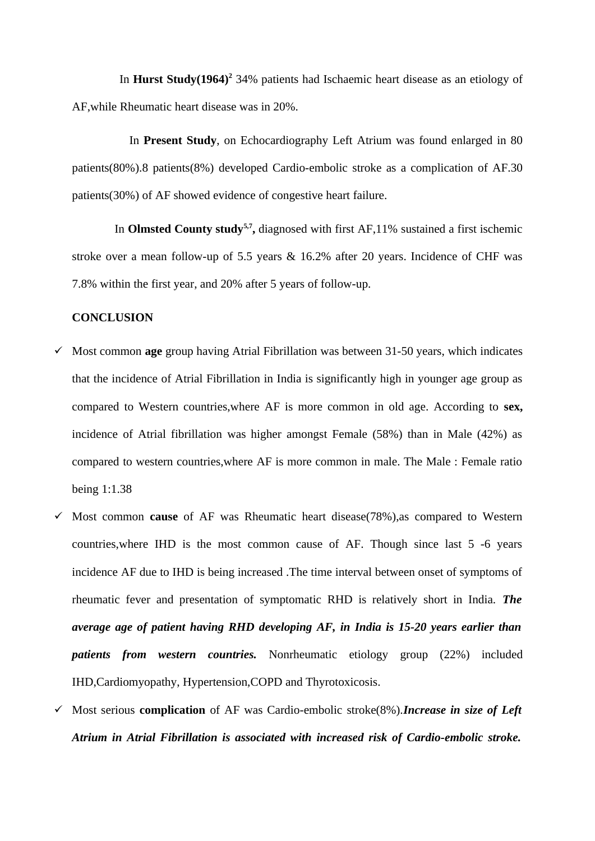In **Hurst Study(1964)<sup>2</sup>** 34% patients had Ischaemic heart disease as an etiology of AF,while Rheumatic heart disease was in 20%.

 In **Present Study**, on Echocardiography Left Atrium was found enlarged in 80 patients(80%).8 patients(8%) developed Cardio-embolic stroke as a complication of AF.30 patients(30%) of AF showed evidence of congestive heart failure.

In **Olmsted County study**<sup>5,7</sup>, diagnosed with first AF,11% sustained a first ischemic stroke over a mean follow-up of 5.5 years & 16.2% after 20 years. Incidence of CHF was 7.8% within the first year, and 20% after 5 years of follow-up.

## **CONCLUSION**

- Most common **age** group having Atrial Fibrillation was between 31-50 years, which indicates that the incidence of Atrial Fibrillation in India is significantly high in younger age group as compared to Western countries,where AF is more common in old age. According to **sex,** incidence of Atrial fibrillation was higher amongst Female (58%) than in Male (42%) as compared to western countries,where AF is more common in male. The Male : Female ratio being 1:1.38
- Most common **cause** of AF was Rheumatic heart disease(78%),as compared to Western countries,where IHD is the most common cause of AF. Though since last 5 -6 years incidence AF due to IHD is being increased .The time interval between onset of symptoms of rheumatic fever and presentation of symptomatic RHD is relatively short in India. *The average age of patient having RHD developing AF, in India is 15-20 years earlier than patients from western countries.* Nonrheumatic etiology group (22%) included IHD,Cardiomyopathy, Hypertension,COPD and Thyrotoxicosis.
- Most serious **complication** of AF was Cardio-embolic stroke(8%).*Increase in size of Left Atrium in Atrial Fibrillation is associated with increased risk of Cardio-embolic stroke.*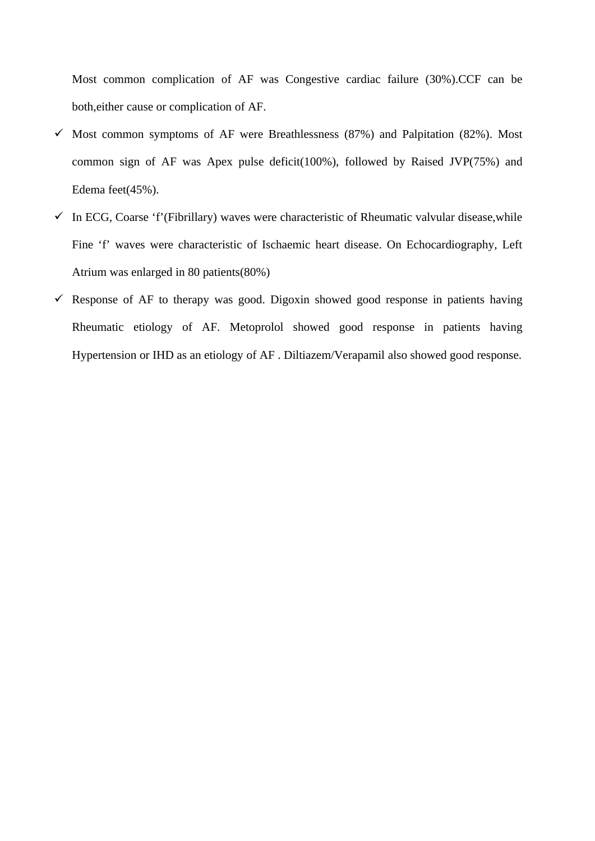Most common complication of AF was Congestive cardiac failure (30%).CCF can be both,either cause or complication of AF.

- $\checkmark$  Most common symptoms of AF were Breathlessness (87%) and Palpitation (82%). Most common sign of AF was Apex pulse deficit(100%), followed by Raised JVP(75%) and Edema feet(45%).
- $\checkmark$  In ECG, Coarse 'f'(Fibrillary) waves were characteristic of Rheumatic valvular disease, while Fine 'f' waves were characteristic of Ischaemic heart disease. On Echocardiography, Left Atrium was enlarged in 80 patients(80%)
- $\checkmark$  Response of AF to therapy was good. Digoxin showed good response in patients having Rheumatic etiology of AF. Metoprolol showed good response in patients having Hypertension or IHD as an etiology of AF . Diltiazem/Verapamil also showed good response.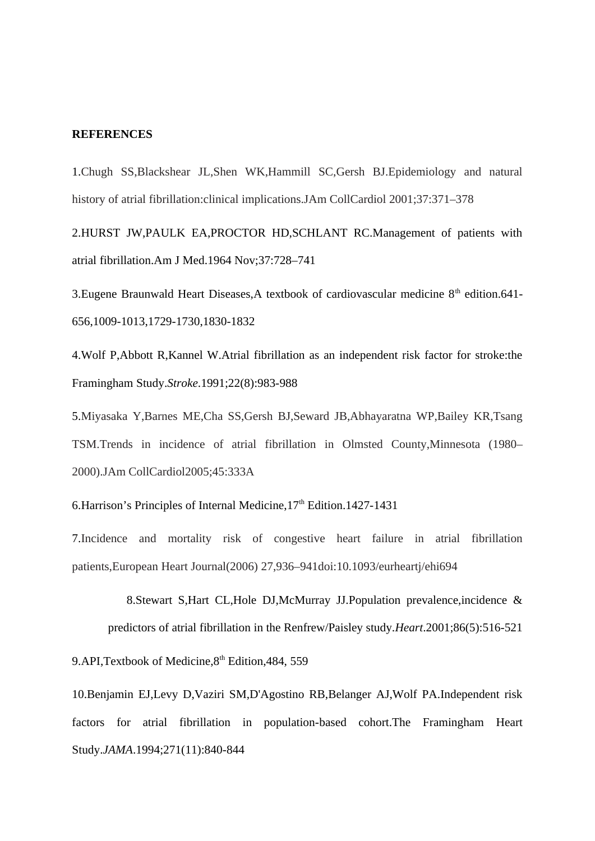#### **REFERENCES**

1.Chugh SS,Blackshear JL,Shen WK,Hammill SC,Gersh BJ.Epidemiology and natural history of atrial fibrillation:clinical implications.JAm CollCardiol 2001;37:371–378

2.HURST JW,PAULK EA,PROCTOR HD,SCHLANT RC.Management of patients with atrial fibrillation.Am J Med.1964 Nov;37:728–741

3. Eugene Braunwald Heart Diseases, A textbook of cardiovascular medicine  $8<sup>th</sup>$  edition. 641-656,1009-1013,1729-1730,1830-1832

4.Wolf P,Abbott R,Kannel W.Atrial fibrillation as an independent risk factor for stroke:the Framingham Study.*Stroke*.1991;22(8):983-988

5.Miyasaka Y,Barnes ME,Cha SS,Gersh BJ,Seward JB,Abhayaratna WP,Bailey KR,Tsang TSM.Trends in incidence of atrial fibrillation in Olmsted County,Minnesota (1980– 2000).JAm CollCardiol2005;45:333A

6. Harrison's Principles of Internal Medicine,  $17<sup>th</sup>$  Edition.  $1427-1431$ 

7.Incidence and mortality risk of congestive heart failure in atrial fibrillation patients,European Heart Journal(2006) 27,936–941doi:10.1093/eurheartj/ehi694

 8.Stewart S,Hart CL,Hole DJ,McMurray JJ.Population prevalence,incidence & predictors of atrial fibrillation in the Renfrew/Paisley study.*Heart*.2001;86(5):516-521 9.API, Textbook of Medicine, 8<sup>th</sup> Edition, 484, 559

10.Benjamin EJ,Levy D,Vaziri SM,D'Agostino RB,Belanger AJ,Wolf PA.Independent risk factors for atrial fibrillation in population-based cohort.The Framingham Heart Study.*JAMA*.1994;271(11):840-844